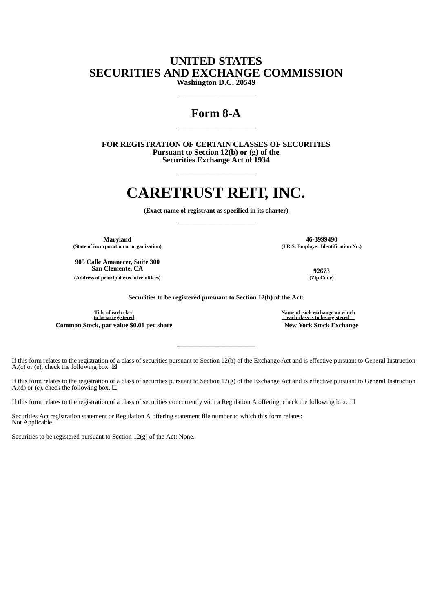## **UNITED STATES SECURITIES AND EXCHANGE COMMISSION**

**Washington D.C. 20549** ——————————

### **Form 8-A**

——————————

**FOR REGISTRATION OF CERTAIN CLASSES OF SECURITIES Pursuant to Section 12(b) or (g) of the Securities Exchange Act of 1934**

# **CARETRUST REIT, INC.**

——————————

**(Exact name of registrant as specified in its charter)** ——————————

**Maryland 46-3999490 (State of incorporation or organization) (I.R.S. Employer Identification No.)**

**905 Calle Amanecer, Suite 300 San Clemente, CA 92673**

**(Address of principal executive offices) (Zip Code)**

**Securities to be registered pursuant to Section 12(b) of the Act:**

**Title of each class to be so registered Common Stock, par value \$0.01 per share New York Stock Exchange**

**Name of each exchange on which each class is to be registered**

If this form relates to the registration of a class of securities pursuant to Section 12(b) of the Exchange Act and is effective pursuant to General Instruction A.(c) or (e), check the following box.  $\boxtimes$ 

**——————————**

If this form relates to the registration of a class of securities pursuant to Section 12(g) of the Exchange Act and is effective pursuant to General Instruction A.(d) or (e), check the following box.  $\Box$ 

If this form relates to the registration of a class of securities concurrently with a Regulation A offering, check the following box.  $\Box$ 

Securities Act registration statement or Regulation A offering statement file number to which this form relates: Not Applicable.

Securities to be registered pursuant to Section 12(g) of the Act: None.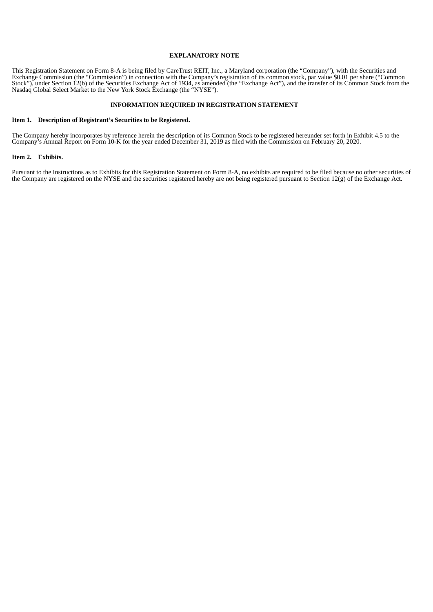#### **EXPLANATORY NOTE**

This Registration Statement on Form 8-A is being filed by CareTrust REIT, Inc., a Maryland corporation (the "Company"), with the Securities and Exchange Commission (the "Commission") in connection with the Company's registration of its common stock, par value \$0.01 per share ("Common Stock"), under Section 12(b) of the Securities Exchange Act of 1934, as amended (the "Exchange Act"), and the transfer of its Common Stock from the Nasdaq Global Select Market to the New York Stock Exchange (the "NYSE").

#### **INFORMATION REQUIRED IN REGISTRATION STATEMENT**

#### **Item 1. Description of Registrant's Securities to be Registered.**

The Company hereby incorporates by reference herein the description of its Common Stock to be registered hereunder set forth in Exhibit 4.5 to the Company's Annual Report on Form 10-K for the year ended December 31, 2019 as filed with the Commission on February 20, 2020.

#### **Item 2. Exhibits.**

Pursuant to the Instructions as to Exhibits for this Registration Statement on Form 8-A, no exhibits are required to be filed because no other securities of the Company are registered on the NYSE and the securities registered hereby are not being registered pursuant to Section 12(g) of the Exchange Act.